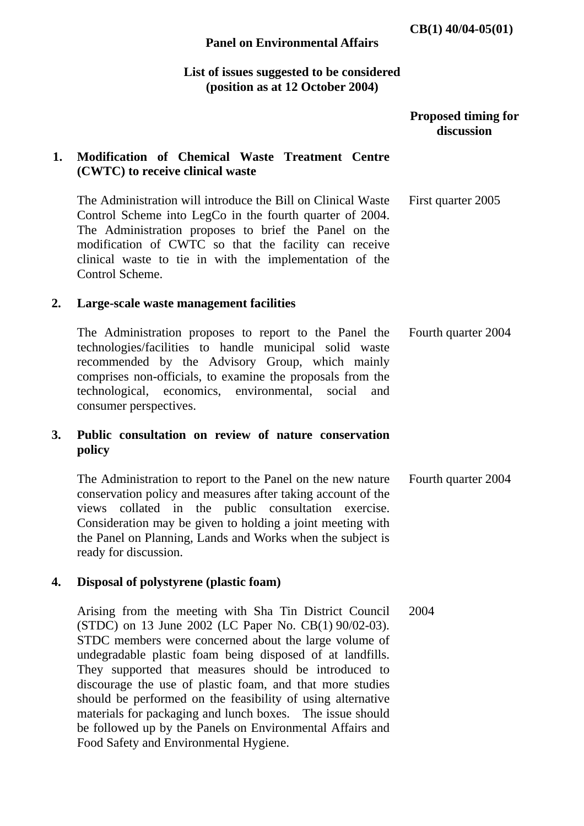#### **Panel on Environmental Affairs**

## **List of issues suggested to be considered (position as at 12 October 2004)**

### **Proposed timing for discussion**

## **1. Modification of Chemical Waste Treatment Centre (CWTC) to receive clinical waste**

The Administration will introduce the Bill on Clinical Waste Control Scheme into LegCo in the fourth quarter of 2004. The Administration proposes to brief the Panel on the modification of CWTC so that the facility can receive clinical waste to tie in with the implementation of the Control Scheme. First quarter 2005

#### **2. Large-scale waste management facilities**

The Administration proposes to report to the Panel the technologies/facilities to handle municipal solid waste recommended by the Advisory Group, which mainly comprises non-officials, to examine the proposals from the technological, economics, environmental, social and consumer perspectives. Fourth quarter 2004

## **3. Public consultation on review of nature conservation policy**

 The Administration to report to the Panel on the new nature conservation policy and measures after taking account of the views collated in the public consultation exercise. Consideration may be given to holding a joint meeting with the Panel on Planning, Lands and Works when the subject is ready for discussion. Fourth quarter 2004

#### **4. Disposal of polystyrene (plastic foam)**

 Arising from the meeting with Sha Tin District Council (STDC) on 13 June 2002 (LC Paper No. CB(1) 90/02-03). STDC members were concerned about the large volume of undegradable plastic foam being disposed of at landfills. They supported that measures should be introduced to discourage the use of plastic foam, and that more studies should be performed on the feasibility of using alternative materials for packaging and lunch boxes. The issue should be followed up by the Panels on Environmental Affairs and Food Safety and Environmental Hygiene. 2004